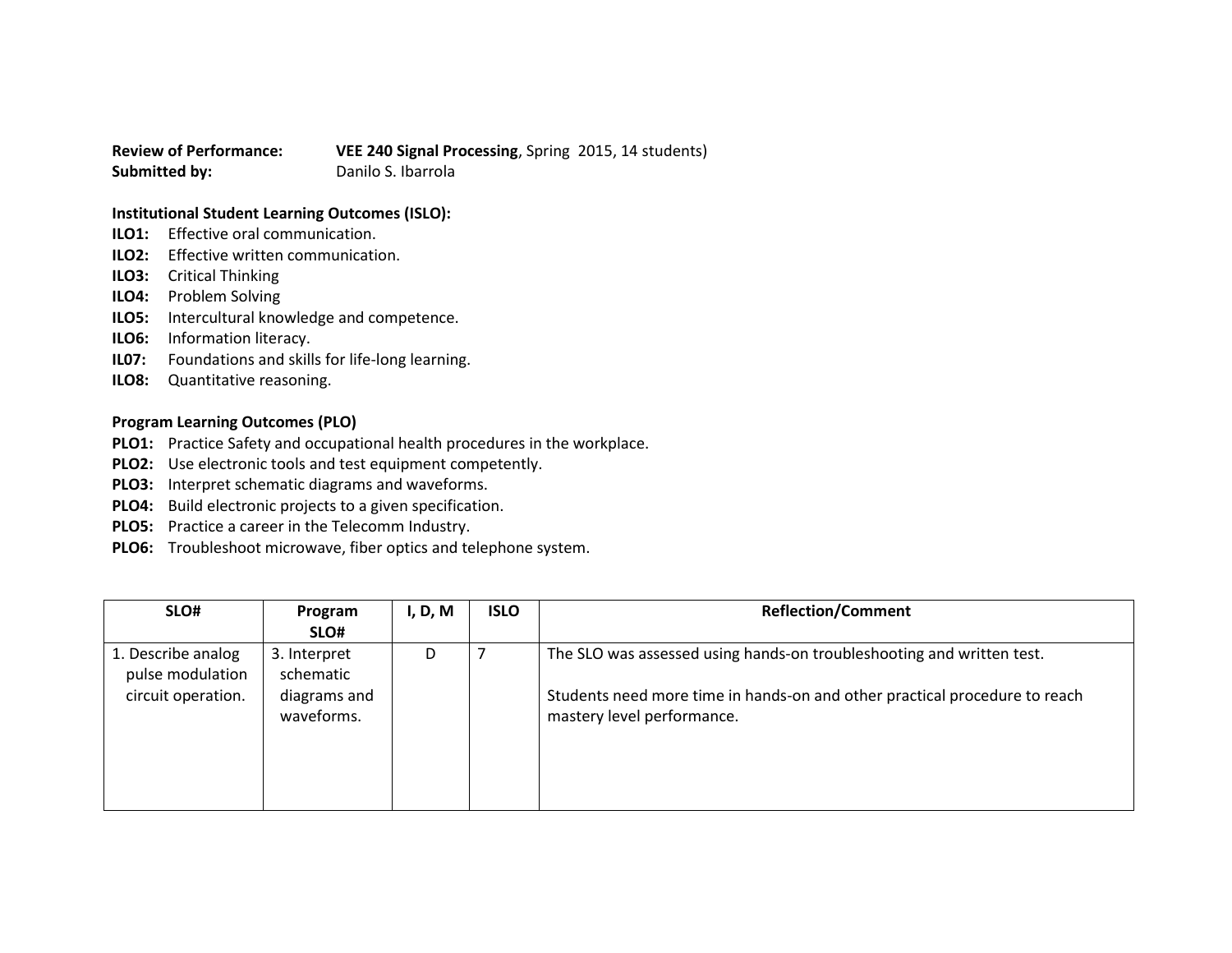**Review of Performance: VEE 240 Signal Processing**, Spring 2015, 14 students) **Submitted by:** Danilo S. Ibarrola

## **Institutional Student Learning Outcomes (ISLO):**

- **ILO1:** Effective oral communication.
- **ILO2:** Effective written communication.
- **ILO3:** Critical Thinking
- **ILO4:** Problem Solving
- **ILO5:** Intercultural knowledge and competence.
- **ILO6:** Information literacy.
- **IL07:** Foundations and skills for life-long learning.
- **ILO8:** Quantitative reasoning.

## **Program Learning Outcomes (PLO)**

- **PLO1:** Practice Safety and occupational health procedures in the workplace.
- **PLO2:** Use electronic tools and test equipment competently.
- **PLO3:** Interpret schematic diagrams and waveforms.
- **PLO4:** Build electronic projects to a given specification.
- **PLO5:** Practice a career in the Telecomm Industry.
- **PLO6:** Troubleshoot microwave, fiber optics and telephone system.

| SLO#                                   | Program                    | I, D, M | <b>ISLO</b> | <b>Reflection/Comment</b>                                                                                |
|----------------------------------------|----------------------------|---------|-------------|----------------------------------------------------------------------------------------------------------|
|                                        | SLO#                       |         |             |                                                                                                          |
| 1. Describe analog<br>pulse modulation | 3. Interpret<br>schematic  | D       |             | The SLO was assessed using hands-on troubleshooting and written test.                                    |
| circuit operation.                     | diagrams and<br>waveforms. |         |             | Students need more time in hands-on and other practical procedure to reach<br>mastery level performance. |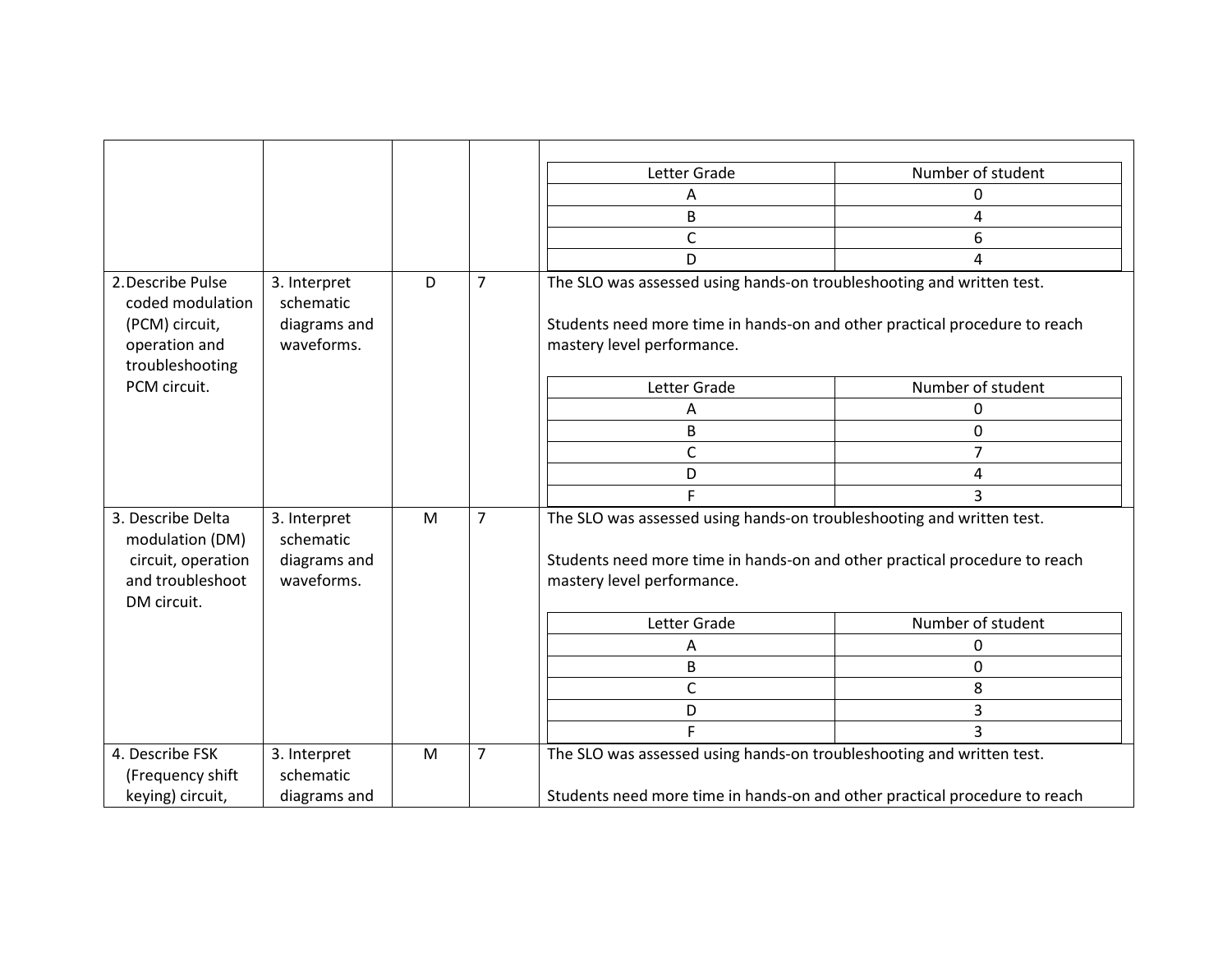|                                                                                               |                                                         |   |                | Letter Grade                                                                                                                                                                      | Number of student |  |
|-----------------------------------------------------------------------------------------------|---------------------------------------------------------|---|----------------|-----------------------------------------------------------------------------------------------------------------------------------------------------------------------------------|-------------------|--|
|                                                                                               |                                                         |   |                | A                                                                                                                                                                                 | 0                 |  |
|                                                                                               |                                                         |   |                | B                                                                                                                                                                                 | 4                 |  |
|                                                                                               |                                                         |   |                | $\mathsf{C}$                                                                                                                                                                      | 6                 |  |
|                                                                                               |                                                         |   |                | D                                                                                                                                                                                 | 4                 |  |
| 2. Describe Pulse<br>coded modulation<br>(PCM) circuit,<br>operation and<br>troubleshooting   | 3. Interpret<br>schematic<br>diagrams and<br>waveforms. | D | $\overline{7}$ | The SLO was assessed using hands-on troubleshooting and written test.<br>Students need more time in hands-on and other practical procedure to reach<br>mastery level performance. |                   |  |
| PCM circuit.                                                                                  |                                                         |   |                | Letter Grade                                                                                                                                                                      | Number of student |  |
|                                                                                               |                                                         |   |                | A                                                                                                                                                                                 | 0                 |  |
|                                                                                               |                                                         |   |                | B                                                                                                                                                                                 | $\Omega$          |  |
|                                                                                               |                                                         |   |                | $\mathsf{C}$                                                                                                                                                                      |                   |  |
|                                                                                               |                                                         |   |                | D                                                                                                                                                                                 | 4                 |  |
|                                                                                               |                                                         |   |                |                                                                                                                                                                                   | 3                 |  |
| 3. Describe Delta<br>modulation (DM)<br>circuit, operation<br>and troubleshoot<br>DM circuit. | 3. Interpret<br>schematic<br>diagrams and<br>waveforms. | M | $\overline{7}$ | The SLO was assessed using hands-on troubleshooting and written test.<br>Students need more time in hands-on and other practical procedure to reach<br>mastery level performance. |                   |  |
|                                                                                               |                                                         |   |                | Letter Grade                                                                                                                                                                      | Number of student |  |
|                                                                                               |                                                         |   |                | Α                                                                                                                                                                                 | 0                 |  |
|                                                                                               |                                                         |   |                | B                                                                                                                                                                                 | 0                 |  |
|                                                                                               |                                                         |   |                | $\mathsf{C}$                                                                                                                                                                      | 8                 |  |
|                                                                                               |                                                         |   |                | D                                                                                                                                                                                 | 3                 |  |
|                                                                                               |                                                         |   |                | F                                                                                                                                                                                 | 3                 |  |
| 4. Describe FSK<br>(Frequency shift<br>keying) circuit,                                       | 3. Interpret<br>schematic<br>diagrams and               | M | $\overline{7}$ | The SLO was assessed using hands-on troubleshooting and written test.<br>Students need more time in hands-on and other practical procedure to reach                               |                   |  |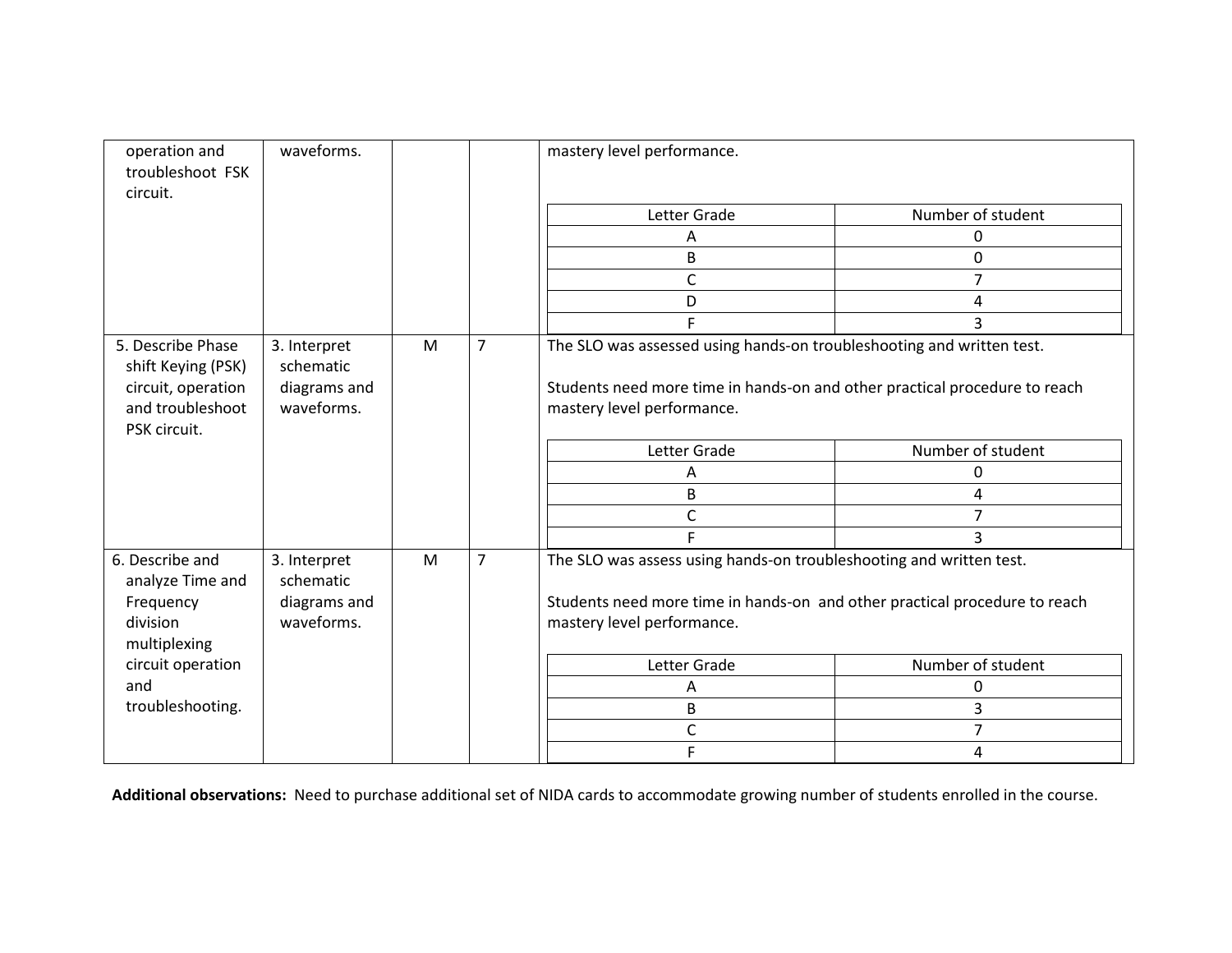| operation and<br>troubleshoot FSK<br>circuit.                                                     | waveforms.                                              |   |                | mastery level performance.                                                                                                                                                        |                   |  |
|---------------------------------------------------------------------------------------------------|---------------------------------------------------------|---|----------------|-----------------------------------------------------------------------------------------------------------------------------------------------------------------------------------|-------------------|--|
|                                                                                                   |                                                         |   |                | Letter Grade                                                                                                                                                                      | Number of student |  |
|                                                                                                   |                                                         |   |                | $\overline{A}$                                                                                                                                                                    | 0                 |  |
|                                                                                                   |                                                         |   |                | B                                                                                                                                                                                 | 0                 |  |
|                                                                                                   |                                                         |   |                | C                                                                                                                                                                                 | 7                 |  |
|                                                                                                   |                                                         |   |                | D                                                                                                                                                                                 | 4                 |  |
|                                                                                                   |                                                         |   |                | F                                                                                                                                                                                 | 3                 |  |
| 5. Describe Phase<br>shift Keying (PSK)<br>circuit, operation<br>and troubleshoot<br>PSK circuit. | 3. Interpret<br>schematic<br>diagrams and<br>waveforms. | M | $\overline{7}$ | The SLO was assessed using hands-on troubleshooting and written test.<br>Students need more time in hands-on and other practical procedure to reach<br>mastery level performance. |                   |  |
|                                                                                                   |                                                         |   |                | Letter Grade                                                                                                                                                                      | Number of student |  |
|                                                                                                   |                                                         |   |                | A                                                                                                                                                                                 | 0                 |  |
|                                                                                                   |                                                         |   |                | B                                                                                                                                                                                 | 4                 |  |
|                                                                                                   |                                                         |   |                | $\mathsf{C}$                                                                                                                                                                      | 7                 |  |
|                                                                                                   |                                                         |   |                | F                                                                                                                                                                                 | 3                 |  |
| 6. Describe and<br>analyze Time and<br>Frequency<br>division<br>multiplexing                      | 3. Interpret<br>schematic<br>diagrams and<br>waveforms. | M | $\overline{7}$ | The SLO was assess using hands-on troubleshooting and written test.<br>Students need more time in hands-on and other practical procedure to reach<br>mastery level performance.   |                   |  |
| circuit operation                                                                                 |                                                         |   |                | Letter Grade                                                                                                                                                                      | Number of student |  |
| and                                                                                               |                                                         |   |                | Α                                                                                                                                                                                 | 0                 |  |
| troubleshooting.                                                                                  |                                                         |   |                | B                                                                                                                                                                                 | 3                 |  |
|                                                                                                   |                                                         |   |                | C                                                                                                                                                                                 | $\overline{7}$    |  |
|                                                                                                   |                                                         |   |                | F                                                                                                                                                                                 | 4                 |  |

**Additional observations:** Need to purchase additional set of NIDA cards to accommodate growing number of students enrolled in the course.